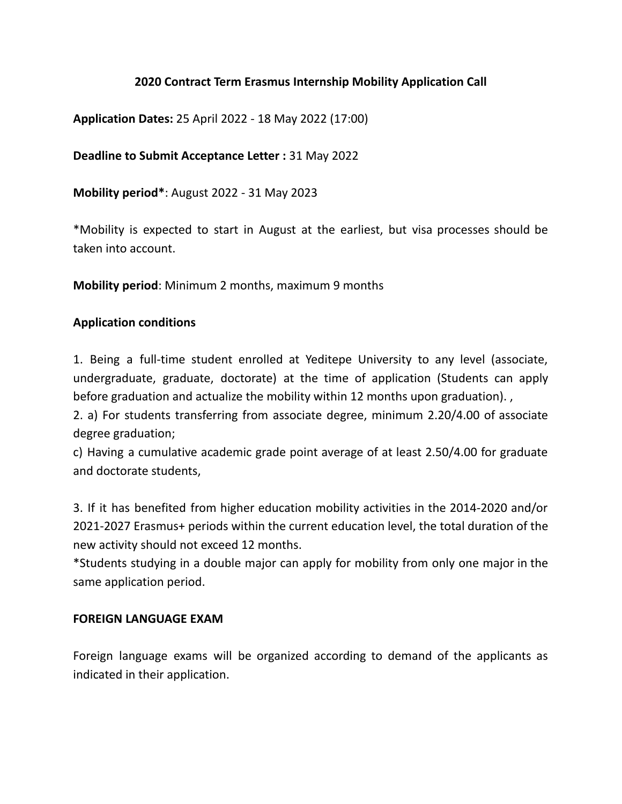## **2020 Contract Term Erasmus Internship Mobility Application Call**

**Application Dates:** 25 April 2022 - 18 May 2022 (17:00)

## **Deadline to Submit Acceptance Letter :** 31 May 2022

**Mobility period\***: August 2022 - 31 May 2023

\*Mobility is expected to start in August at the earliest, but visa processes should be taken into account.

**Mobility period**: Minimum 2 months, maximum 9 months

## **Application conditions**

1. Being a full-time student enrolled at Yeditepe University to any level (associate, undergraduate, graduate, doctorate) at the time of application (Students can apply before graduation and actualize the mobility within 12 months upon graduation). ,

2. a) For students transferring from associate degree, minimum 2.20/4.00 of associate degree graduation;

c) Having a cumulative academic grade point average of at least 2.50/4.00 for graduate and doctorate students,

3. If it has benefited from higher education mobility activities in the 2014-2020 and/or 2021-2027 Erasmus+ periods within the current education level, the total duration of the new activity should not exceed 12 months.

\*Students studying in a double major can apply for mobility from only one major in the same application period.

### **FOREIGN LANGUAGE EXAM**

Foreign language exams will be organized according to demand of the applicants as indicated in their application.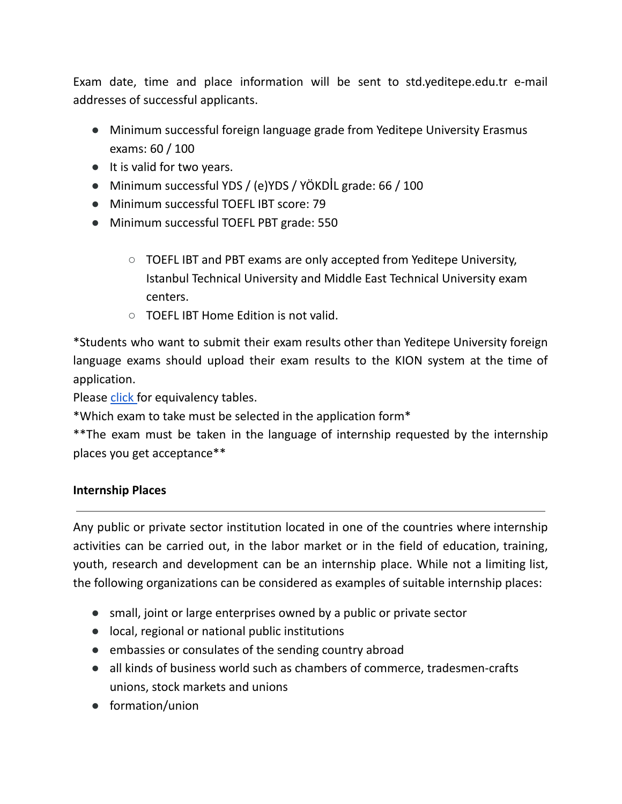Exam date, time and place information will be sent to std.yeditepe.edu.tr e-mail addresses of successful applicants.

- Minimum successful foreign language grade from Yeditepe University Erasmus exams: 60 / 100
- It is valid for two years.
- Minimum successful YDS / (e)YDS / YÖKDİL grade: 66 / 100
- Minimum successful TOEFL IBT score: 79
- Minimum successful TOEFL PBT grade: 550
	- TOEFL IBT and PBT exams are only accepted from Yeditepe University, Istanbul Technical University and Middle East Technical University exam centers.
	- TOEFL IBT Home Edition is not valid.

\*Students who want to submit their exam results other than Yeditepe University foreign language exams should upload their exam results to the KION system at the time of application.

Please [click](https://international.yeditepe.edu.tr/sites/default/files/inline-files/EK1%20TOEFL%20IBT%20-%20YED%C4%B0TEPE%20ERASMUS-merged_0.pdf) for equivalency tables.

\*Which exam to take must be selected in the application form\*

\*\*The exam must be taken in the language of internship requested by the internship places you get acceptance\*\*

### **Internship Places**

Any public or private sector institution located in one of the countries where internship activities can be carried out, in the labor market or in the field of education, training, youth, research and development can be an internship place. While not a limiting list, the following organizations can be considered as examples of suitable internship places:

- small, joint or large enterprises owned by a public or private sector
- local, regional or national public institutions
- embassies or consulates of the sending country abroad
- all kinds of business world such as chambers of commerce, tradesmen-crafts unions, stock markets and unions
- formation/union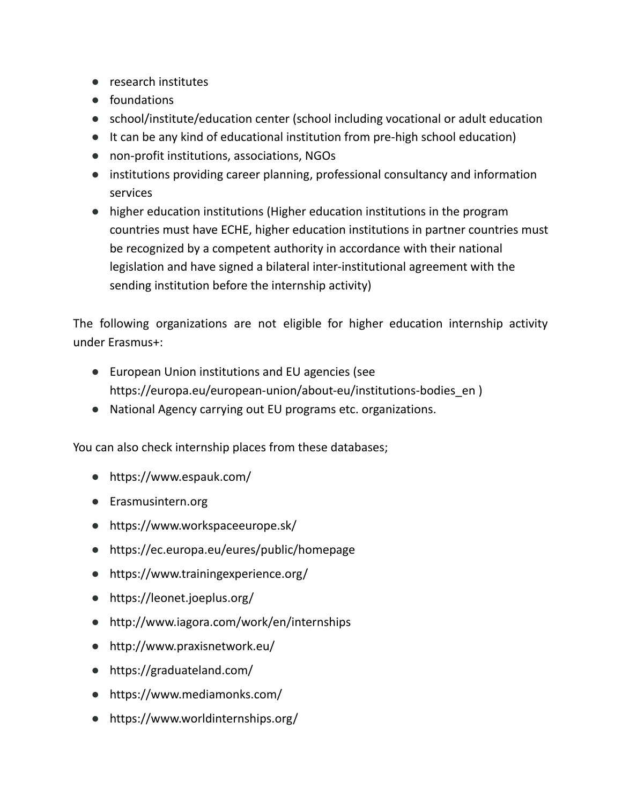- research institutes
- foundations
- school/institute/education center (school including vocational or adult education
- It can be any kind of educational institution from pre-high school education)
- non-profit institutions, associations, NGOs
- institutions providing career planning, professional consultancy and information services
- higher education institutions (Higher education institutions in the program countries must have ECHE, higher education institutions in partner countries must be recognized by a competent authority in accordance with their national legislation and have signed a bilateral inter-institutional agreement with the sending institution before the internship activity)

The following organizations are not eligible for higher education internship activity under Erasmus+:

- European Union institutions and EU agencies (see [https://europa.eu/european-union/about-eu/institutions-bodies\\_en](https://europa.eu/european-union/about-eu/institutions-bodies_en) )
- National Agency carrying out EU programs etc. organizations.

You can also check internship places from these databases;

- https://www.espauk.com/
- [Erasmusintern.org](http://www.erasmusintern.org/)
- https://www.workspaceeurope.sk/
- <https://ec.europa.eu/eures/public/homepage>
- <https://www.trainingexperience.org/>
- <https://leonet.joeplus.org/>
- <http://www.iagora.com/work/en/internships>
- <http://www.praxisnetwork.eu/>
- <https://graduateland.com/>
- <https://www.mediamonks.com/>
- <https://www.worldinternships.org/>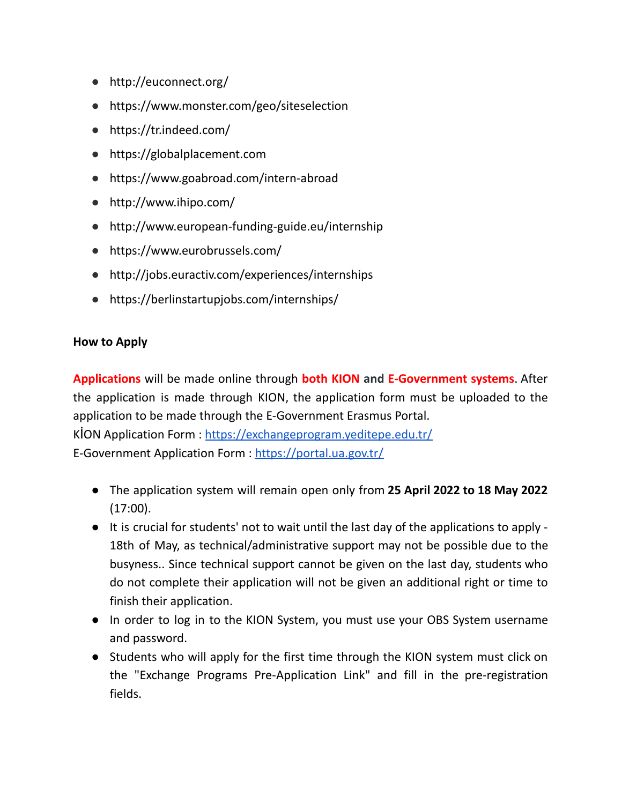- <http://euconnect.org/>
- <https://www.monster.com/geo/siteselection>
- <https://tr.indeed.com/>
- [https://globalplacement.com](https://globalplacement.com/)
- <https://www.goabroad.com/intern-abroad>
- <http://www.ihipo.com/>
- <http://www.european-funding-guide.eu/internship>
- <https://www.eurobrussels.com/>
- <http://jobs.euractiv.com/experiences/internships>
- https://berlinstartupjobs.com/internships/

### **How to Apply**

**Applications** will be made online through **both KION and E-Government systems**. After the application is made through KION, the application form must be uploaded to the application to be made through the E-Government Erasmus Portal. KİON Application Form : <https://exchangeprogram.yeditepe.edu.tr/> E-Government Application Form : <https://portal.ua.gov.tr/>

- The application system will remain open only from **25 April 2022 to 18 May 2022** (17:00).
- It is crucial for students' not to wait until the last day of the applications to apply 18th of May, as technical/administrative support may not be possible due to the busyness.. Since technical support cannot be given on the last day, students who do not complete their application will not be given an additional right or time to finish their application.
- In order to log in to the KION System, you must use your OBS System username and password.
- Students who will apply for the first time through the KION system must click on the "Exchange Programs Pre-Application Link" and fill in the pre-registration fields.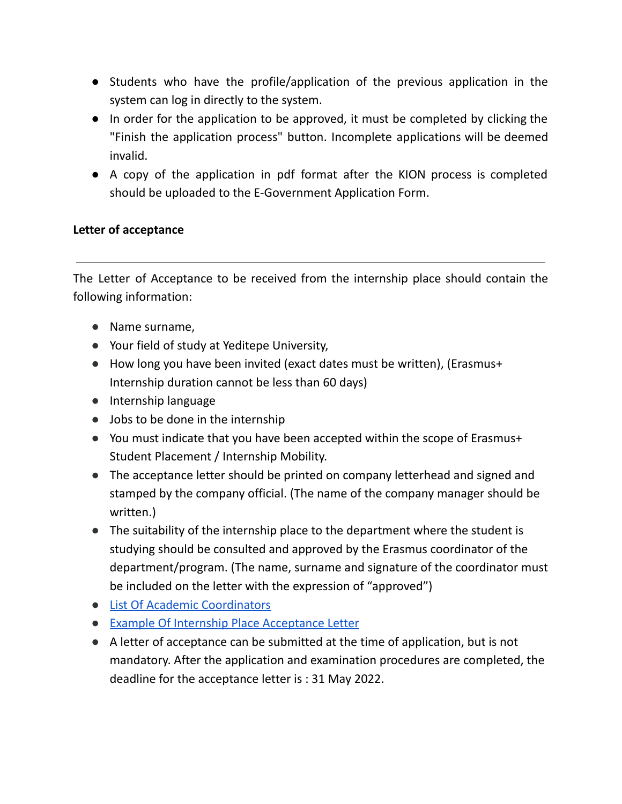- Students who have the profile/application of the previous application in the system can log in directly to the system.
- In order for the application to be approved, it must be completed by clicking the "Finish the application process" button. Incomplete applications will be deemed invalid.
- A copy of the application in pdf format after the KION process is completed should be uploaded to the E-Government Application Form.

## **Letter of acceptance**

The Letter of Acceptance to be received from the internship place should contain the following information:

- Name surname,
- Your field of study at Yeditepe University,
- How long you have been invited (exact dates must be written), (Erasmus+ Internship duration cannot be less than 60 days)
- Internship language
- Jobs to be done in the internship
- You must indicate that you have been accepted within the scope of Erasmus+ Student Placement / Internship Mobility.
- The acceptance letter should be printed on company letterhead and signed and stamped by the company official. (The name of the company manager should be written.)
- The suitability of the internship place to the department where the student is studying should be consulted and approved by the Erasmus coordinator of the department/program. (The name, surname and signature of the coordinator must be included on the letter with the expression of "approved")
- List Of Academic [Coordinators](https://international.yeditepe.edu.tr/en/international/academic-unit-coordinators/academic-unit-coordinators)
- Example Of Internship Place [Acceptance](https://international.yeditepe.edu.tr/sites/default/files/inline-files/yeditepe-training_mobility_acceptance_letter.doc) Letter
- A letter of acceptance can be submitted at the time of application, but is not mandatory. After the application and examination procedures are completed, the deadline for the acceptance letter is : 31 May 2022.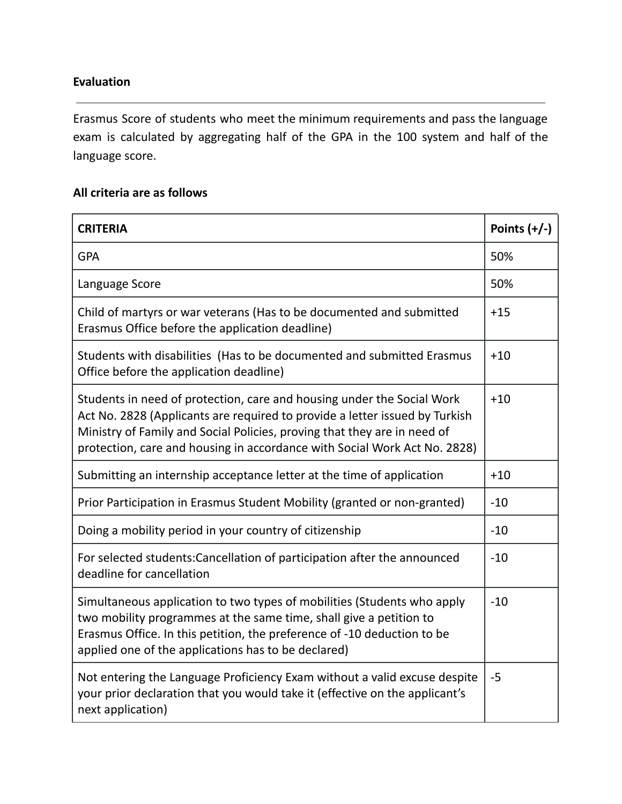## **Evaluation**

Erasmus Score of students who meet the minimum requirements and pass the language exam is calculated by aggregating half of the GPA in the 100 system and half of the language score.

# **All criteria are as follows**

| <b>CRITERIA</b>                                                                                                                                                                                                                                                                                                |       |
|----------------------------------------------------------------------------------------------------------------------------------------------------------------------------------------------------------------------------------------------------------------------------------------------------------------|-------|
| <b>GPA</b>                                                                                                                                                                                                                                                                                                     | 50%   |
| Language Score                                                                                                                                                                                                                                                                                                 | 50%   |
| Child of martyrs or war veterans (Has to be documented and submitted<br>Erasmus Office before the application deadline)                                                                                                                                                                                        |       |
| Students with disabilities (Has to be documented and submitted Erasmus<br>Office before the application deadline)                                                                                                                                                                                              | $+10$ |
| Students in need of protection, care and housing under the Social Work<br>Act No. 2828 (Applicants are required to provide a letter issued by Turkish<br>Ministry of Family and Social Policies, proving that they are in need of<br>protection, care and housing in accordance with Social Work Act No. 2828) |       |
| Submitting an internship acceptance letter at the time of application                                                                                                                                                                                                                                          |       |
| Prior Participation in Erasmus Student Mobility (granted or non-granted)                                                                                                                                                                                                                                       |       |
| Doing a mobility period in your country of citizenship                                                                                                                                                                                                                                                         |       |
| For selected students: Cancellation of participation after the announced<br>deadline for cancellation                                                                                                                                                                                                          |       |
| Simultaneous application to two types of mobilities (Students who apply<br>two mobility programmes at the same time, shall give a petition to<br>Erasmus Office. In this petition, the preference of -10 deduction to be<br>applied one of the applications has to be declared)                                | $-10$ |
| Not entering the Language Proficiency Exam without a valid excuse despite<br>your prior declaration that you would take it (effective on the applicant's<br>next application)                                                                                                                                  | $-5$  |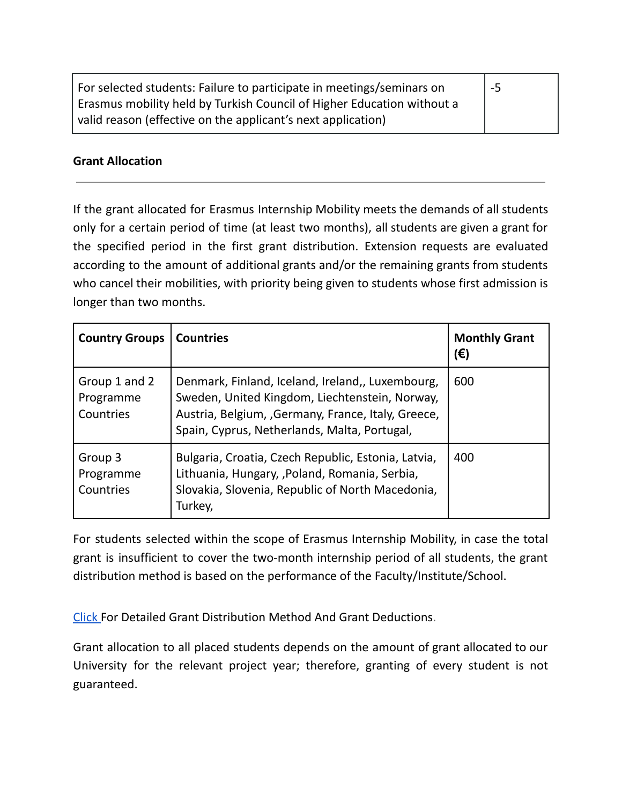| For selected students: Failure to participate in meetings/seminars on  | $-5$ |
|------------------------------------------------------------------------|------|
| Erasmus mobility held by Turkish Council of Higher Education without a |      |
| valid reason (effective on the applicant's next application)           |      |

### **Grant Allocation**

If the grant allocated for Erasmus Internship Mobility meets the demands of all students only for a certain period of time (at least two months), all students are given a grant for the specified period in the first grant distribution. Extension requests are evaluated according to the amount of additional grants and/or the remaining grants from students who cancel their mobilities, with priority being given to students whose first admission is longer than two months.

| <b>Country Groups</b>                   | <b>Countries</b>                                                                                                                                                                                          | <b>Monthly Grant</b><br>(€) |
|-----------------------------------------|-----------------------------------------------------------------------------------------------------------------------------------------------------------------------------------------------------------|-----------------------------|
| Group 1 and 2<br>Programme<br>Countries | Denmark, Finland, Iceland, Ireland,, Luxembourg,<br>Sweden, United Kingdom, Liechtenstein, Norway,<br>Austria, Belgium, , Germany, France, Italy, Greece,<br>Spain, Cyprus, Netherlands, Malta, Portugal, | 600                         |
| Group 3<br>Programme<br>Countries       | Bulgaria, Croatia, Czech Republic, Estonia, Latvia,<br>Lithuania, Hungary, , Poland, Romania, Serbia,<br>Slovakia, Slovenia, Republic of North Macedonia,<br>Turkey,                                      | 400                         |

For students selected within the scope of Erasmus Internship Mobility, in case the total grant is insufficient to cover the two-month internship period of all students, the grant distribution method is based on the performance of the Faculty/Institute/School.

[Click](https://international.yeditepe.edu.tr/sites/default/files/inline-files/Erasmus%20Mobility%20Grant%20Distribution%20Method%20and%20Rules%20for%20Grant%20Deduction.pdf) For Detailed Grant Distribution Method And Grant Deductions.

Grant allocation to all placed students depends on the amount of grant allocated to our University for the relevant project year; therefore, granting of every student is not guaranteed.